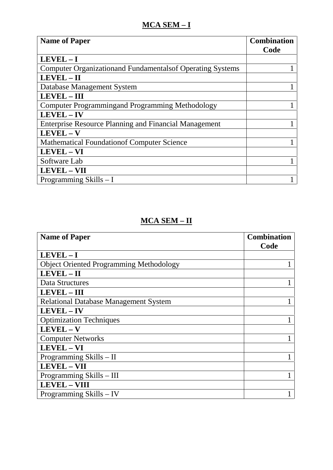#### **MCA SEM – I**

| <b>Name of Paper</b>                                              | <b>Combination</b><br>Code |
|-------------------------------------------------------------------|----------------------------|
| $LEVEL - I$                                                       |                            |
| <b>Computer Organizationand Fundamentals of Operating Systems</b> |                            |
| LEVEL-II                                                          |                            |
| Database Management System                                        |                            |
| <b>LEVEL - III</b>                                                |                            |
| <b>Computer Programmingand Programming Methodology</b>            |                            |
| LEVEL - IV                                                        |                            |
| <b>Enterprise Resource Planning and Financial Management</b>      |                            |
| LEVEL-V                                                           |                            |
| <b>Mathematical Foundation of Computer Science</b>                |                            |
| <b>LEVEL - VI</b>                                                 |                            |
| Software Lab                                                      |                            |
| <b>LEVEL - VII</b>                                                |                            |
| Programming Skills $-1$                                           |                            |

# **MCA SEM – II**

| <b>Name of Paper</b>                           | <b>Combination</b><br>Code |
|------------------------------------------------|----------------------------|
| $LEVEL - I$                                    |                            |
|                                                |                            |
| <b>Object Oriented Programming Methodology</b> |                            |
| LEVEL-II                                       |                            |
| Data Structures                                |                            |
| <b>LEVEL - III</b>                             |                            |
| <b>Relational Database Management System</b>   |                            |
| LEVEL-IV                                       |                            |
| <b>Optimization Techniques</b>                 |                            |
| $LEVEL - V$                                    |                            |
| <b>Computer Networks</b>                       |                            |
| LEVEL - VI                                     |                            |
| Programming Skills - II                        |                            |
| LEVEL - VII                                    |                            |
| Programming Skills - III                       |                            |
| <b>LEVEL - VIII</b>                            |                            |
| Programming Skills – IV                        |                            |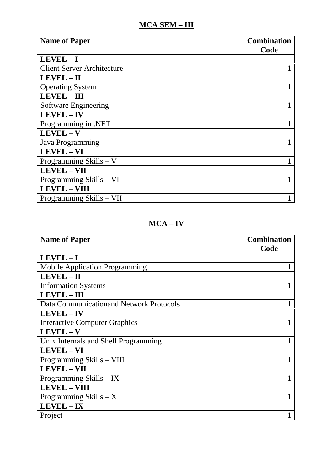#### **MCA SEM – III**

| <b>Name of Paper</b>              | <b>Combination</b><br>Code |
|-----------------------------------|----------------------------|
| $LEVEL - I$                       |                            |
| <b>Client Server Architecture</b> |                            |
| LEVEL-II                          |                            |
| <b>Operating System</b>           |                            |
| <b>LEVEL - III</b>                |                            |
| Software Engineering              |                            |
| <b>LEVEL-IV</b>                   |                            |
| Programming in .NET               |                            |
| $LEVEL - V$                       |                            |
| Java Programming                  |                            |
| LEVEL - VI                        |                            |
| Programming Skills $-$ V          |                            |
| <b>LEVEL - VII</b>                |                            |
| Programming Skills - VI           |                            |
| <b>LEVEL - VIII</b>               |                            |
| Programming Skills – VII          |                            |

#### **MCA – IV**

| <b>Name of Paper</b>                    | <b>Combination</b><br>Code |
|-----------------------------------------|----------------------------|
| $LEVEL - I$                             |                            |
| <b>Mobile Application Programming</b>   |                            |
| LEVEL - II                              |                            |
| <b>Information Systems</b>              |                            |
| <b>LEVEL-III</b>                        |                            |
| Data Communicationand Network Protocols |                            |
| <b>LEVEL-IV</b>                         |                            |
| <b>Interactive Computer Graphics</b>    |                            |
| LEVEL-V                                 |                            |
| Unix Internals and Shell Programming    |                            |
| <b>LEVEL - VI</b>                       |                            |
| Programming Skills - VIII               |                            |
| <b>LEVEL - VII</b>                      |                            |
| Programming Skills – IX                 |                            |
| <b>LEVEL - VIII</b>                     |                            |
| Programming Skills $- X$                |                            |
| LEVEL-IX                                |                            |
| Project                                 |                            |